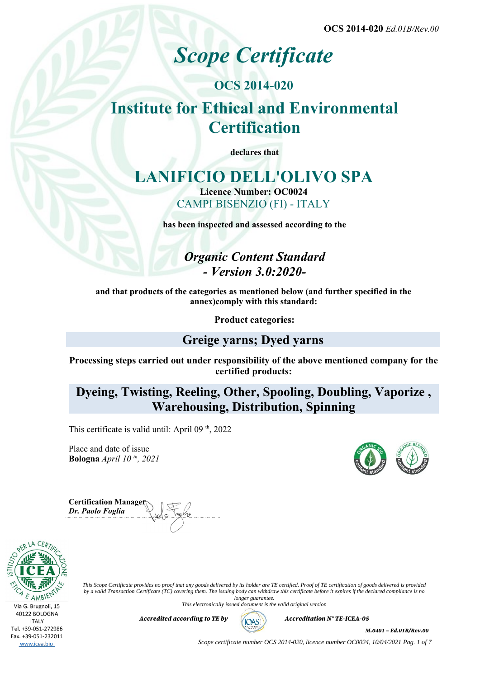# *Scope Certificate*

## **OCS 2014-020 Institute for Ethical and Environmental Certification**

**declares that**

## **LANIFICIO DELL'OLIVO SPA**

**Licence Number: OC0024** CAMPI BISENZIO (FI) - ITALY

**has been inspected and assessed according to the**

*Organic Content Standard - Version 3.0:2020-*

**and that products of the categories as mentioned below (and further specified in the annex)comply with this standard:**

**Product categories:**

## **Greige yarns; Dyed yarns**

**Processing steps carried out under responsibility of the above mentioned company for the certified products:**

**Dyeing, Twisting, Reeling, Other, Spooling, Doubling, Vaporize , Warehousing, Distribution, Spinning**

This certificate is valid until: April 09<sup>th</sup>, 2022

Place and date of issue **Bologna** *April 10 th, 2021*

**Certification Manager** *Dr. Paolo Foglia*



*This Scope Certificate provides no proof that any goods delivered by its holder are TE certified. Proof of TE certification of goods delivered is provided by a valid Transaction Certificate (TC) covering them. The issuing body can withdraw this certificate before it expires if the declared compliance is no longer guarantee.*

*This electronically issued document is the valid original version*

*Accredited according to TE by*  $(AOS)$  *Accreditation N° TE-ICEA-05* 



*M.0401 – Ed.01B/Rev.00*

*Scope certificate number OCS 2014-020, licence number OC0024, 10/04/2021 Pag. 1 of 7*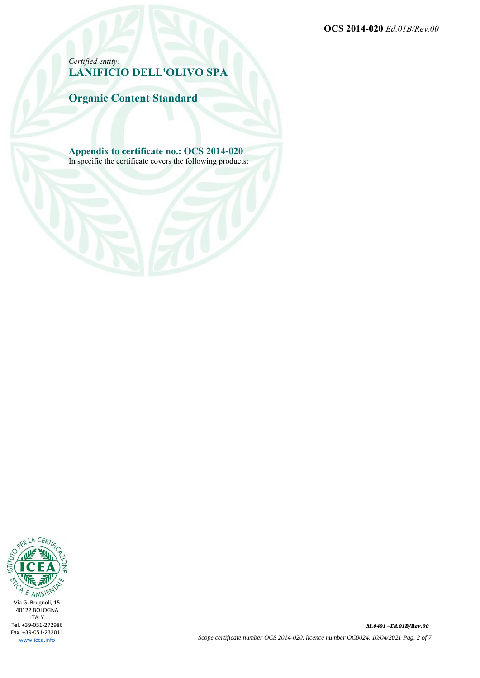*Certified entity:* **LANIFICIO DELL'OLIVO SPA**

**Organic Content Standard**

**Appendix to certificate no.: OCS 2014-020** In specific the certificate covers the following products:

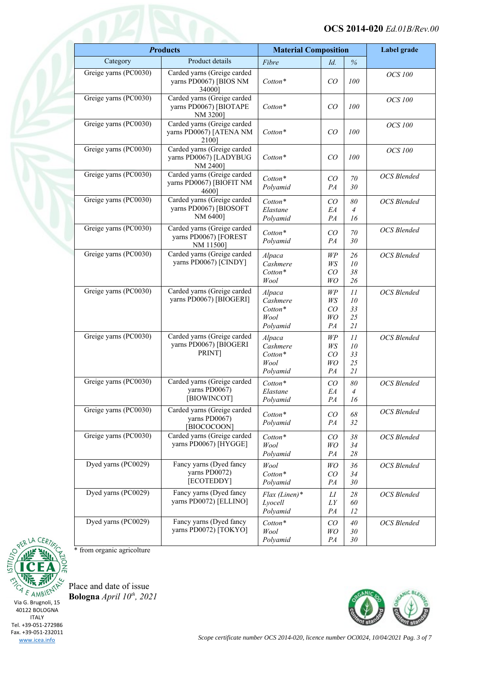| <b>Products</b>       |                                                                   | <b>Material Composition</b>                       |                                      | Label grade                |                    |
|-----------------------|-------------------------------------------------------------------|---------------------------------------------------|--------------------------------------|----------------------------|--------------------|
| Category              | Product details                                                   | Fibre                                             | Id.                                  | $\%$                       |                    |
| Greige yarns (PC0030) | Carded yarns (Greige carded<br>yarns PD0067) [BIOS NM<br>34000]   | Cotton*                                           | CO                                   | 100                        | <b>OCS</b> 100     |
| Greige yarns (PC0030) | Carded yarns (Greige carded<br>yarns PD0067) [BIOTAPE<br>NM 3200] | $Cottom*$                                         | CO                                   | 100                        | <b>OCS</b> 100     |
| Greige yarns (PC0030) | Carded yarns (Greige carded<br>yarns PD0067) [ATENA NM<br>21001   | $Cottom*$                                         | CO                                   | 100                        | <b>OCS</b> 100     |
| Greige yarns (PC0030) | Carded yarns (Greige carded<br>yarns PD0067) [LADYBUG<br>NM 2400] | Cotton*                                           | CO                                   | 100                        | <b>OCS</b> 100     |
| Greige yarns (PC0030) | Carded yarns (Greige carded<br>yarns PD0067) [BIOFIT NM<br>46001  | Cotton*<br>Polyamid                               | CO<br>PA                             | $70\,$<br>30               | <b>OCS</b> Blended |
| Greige yarns (PC0030) | Carded yarns (Greige carded<br>yarns PD0067) [BIOSOFT<br>NM 6400] | Cotton*<br>Elastane<br>Polyamid                   | CO<br>EA<br>PA                       | 80<br>4<br>16              | <b>OCS</b> Blended |
| Greige yarns (PC0030) | Carded yarns (Greige carded<br>yarns PD0067) [FOREST<br>NM 11500] | Cotton*<br>Polyamid                               | CO<br>PA                             | 70<br>30                   | <b>OCS</b> Blended |
| Greige yarns (PC0030) | Carded yarns (Greige carded<br>yarns PD0067) [CINDY]              | Alpaca<br>Cashmere<br>Cotton*<br>Wool             | WP<br>WS<br>CO<br>WO                 | 26<br>10<br>38<br>26       | <b>OCS</b> Blended |
| Greige yarns (PC0030) | Carded yarns (Greige carded<br>yarns PD0067) [BIOGERI]            | Alpaca<br>Cashmere<br>Cotton*<br>Wool<br>Polyamid | WP<br>WS<br>CO<br>WO<br>PA           | 11<br>10<br>33<br>25<br>21 | <b>OCS</b> Blended |
| Greige yarns (PC0030) | Carded yarns (Greige carded<br>yarns PD0067) [BIOGERI<br>PRINT]   | Alpaca<br>Cashmere<br>Cotton*<br>Wool<br>Polyamid | WP<br>WS<br>CO<br>WO<br>PA           | 11<br>10<br>33<br>25<br>21 | <b>OCS</b> Blended |
| Greige yarns (PC0030) | Carded yarns (Greige carded<br>yarns PD0067)<br>[BIOWINCOT]       | $Cottom*$<br>Elastane<br>Polyamid                 | CO<br>EA<br>${\cal P}A$              | 80<br>$\overline{4}$<br>16 | <b>OCS</b> Blended |
| Greige yarns (PC0030) | Carded yarns (Greige carded<br>yarns PD0067)<br>[BIOCOCOON]       | $Cottom*$<br>Polyamid                             | CO<br>PA                             | 68<br>32                   | OCS Blended        |
| Greige yarns (PC0030) | Carded yarns (Greige carded<br>yarns PD0067) [HYGGE]              | Cotton*<br>Wool<br>Polyamid                       | CO<br>WO<br>PA                       | 38<br>34<br>$28\,$         | <b>OCS</b> Blended |
| Dyed yarns (PC0029)   | Fancy yarns (Dyed fancy<br>yarns PD0072)<br>[ECOTEDDY]            | Wool<br>Cotton*<br>Polyamid                       | WO<br>CO<br>PA                       | 36<br>34<br>30             | <b>OCS</b> Blended |
| Dyed yarns (PC0029)   | Fancy yarns (Dyed fancy<br>yarns PD0072) [ELLINO]                 | $Flax$ (Linen)*<br>Lyocell<br>Polyamid            | LI<br>$\mathcal{L}\mathcal{Y}$<br>PA | 28<br>60<br>12             | <b>OCS</b> Blended |
| Dyed yarns (PC0029)   | Fancy yarns (Dyed fancy<br>yarns PD0072) [TOKYO]                  | Cotton*<br>Wool<br>Polyamid                       | CO<br>WO<br>PA                       | 40<br>30<br>30             | OCS Blended        |



\* from organic agricolture

Place and date of issue **Bologna** *April 10th, 2021*

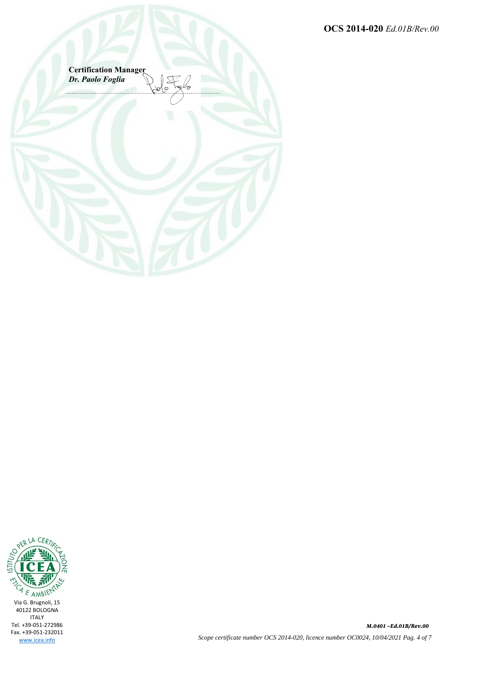**Certification Manager** *Dr. Paolo Foglia*



*M.0401 –Ed.01B/Rev.00 Scope certificate number OCS 2014-020, licence number OC0024, 10/04/2021 Pag. 4 of 7*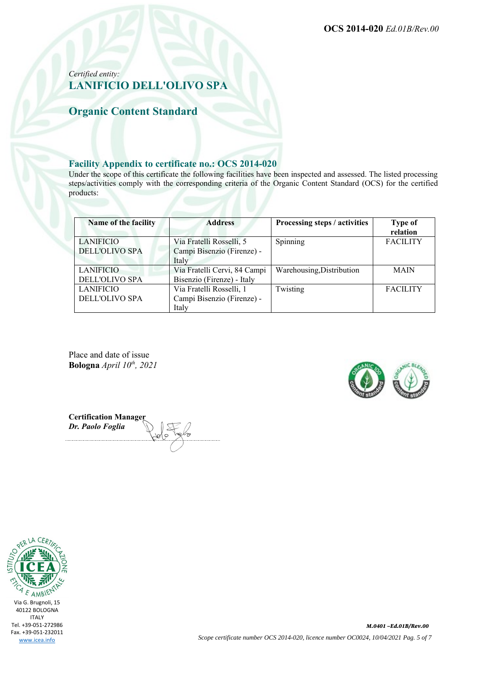### *Certified entity:* **LANIFICIO DELL'OLIVO SPA**

## **Organic Content Standard**

#### **Facility Appendix to certificate no.: OCS 2014-020**

Under the scope of this certificate the following facilities have been inspected and assessed. The listed processing steps/activities comply with the corresponding criteria of the Organic Content Standard (OCS) for the certified products:

| Name of the facility  | <b>Address</b>               | Processing steps / activities | <b>Type of</b><br>relation |
|-----------------------|------------------------------|-------------------------------|----------------------------|
| LANIFICIO             | Via Fratelli Rosselli, 5     | Spinning                      | <b>FACILITY</b>            |
| <b>DELL'OLIVO SPA</b> | Campi Bisenzio (Firenze) -   |                               |                            |
|                       | Italy                        |                               |                            |
| <b>LANIFICIO</b>      | Via Fratelli Cervi, 84 Campi | Warehousing, Distribution     | <b>MAIN</b>                |
| <b>DELL'OLIVO SPA</b> | Bisenzio (Firenze) - Italy   |                               |                            |
| <b>LANIFICIO</b>      | Via Fratelli Rosselli, 1     | Twisting                      | <b>FACILITY</b>            |
| DELL'OLIVO SPA        | Campi Bisenzio (Firenze) -   |                               |                            |
|                       | Italy                        |                               |                            |

Place and date of issue **Bologna** *April 10th, 2021*



**Certification Manager** *Dr. Paolo Foglia*

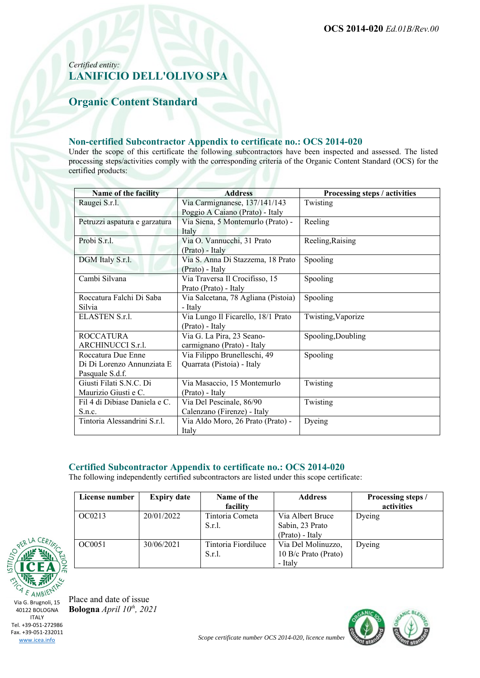### *Certified entity:* **LANIFICIO DELL'OLIVO SPA**

## **Organic Content Standard**

#### **Non-certified Subcontractor Appendix to certificate no.: OCS 2014-020**

Under the scope of this certificate the following subcontractors have been inspected and assessed. The listed processing steps/activities comply with the corresponding criteria of the Organic Content Standard (OCS) for the certified products:

| Name of the facility          | <b>Address</b>                      | Processing steps / activities |
|-------------------------------|-------------------------------------|-------------------------------|
| Raugei S.r.l.                 | Via Carmignanese, 137/141/143       | Twisting                      |
|                               | Poggio A Caiano (Prato) - Italy     |                               |
| Petruzzi aspatura e garzatura | Via Siena, 5 Montemurlo (Prato) -   | Reeling                       |
|                               | Italy                               |                               |
| Probi S.r.l.                  | Via O. Vannucchi, 31 Prato          | Reeling, Raising              |
|                               | (Prato) - Italy                     |                               |
| DGM Italy S.r.l.              | Via S. Anna Di Stazzema, 18 Prato   | Spooling                      |
|                               | (Prato) - Italy                     |                               |
| Cambi Silvana                 | Via Traversa Il Crocifisso, 15      | Spooling                      |
|                               | Prato (Prato) - Italy               |                               |
| Roccatura Falchi Di Saba      | Via Salcetana, 78 Agliana (Pistoia) | Spooling                      |
| Silvia                        | - Italy                             |                               |
| ELASTEN S.r.l.                | Via Lungo Il Ficarello, 18/1 Prato  | Twisting, Vaporize            |
|                               | (Prato) - Italy                     |                               |
| <b>ROCCATURA</b>              | Via G. La Pira, 23 Seano-           | Spooling, Doubling            |
| ARCHINUCCI S.r.l.             | carmignano (Prato) - Italy          |                               |
| Roccatura Due Enne            | Via Filippo Brunelleschi, 49        | Spooling                      |
| Di Di Lorenzo Annunziata E    | Quarrata (Pistoia) - Italy          |                               |
| Pasquale S.d.f.               |                                     |                               |
| Giusti Filati S.N.C. Di       | Via Masaccio, 15 Montemurlo         | Twisting                      |
| Maurizio Giusti e C.          | (Prato) - Italy                     |                               |
| Fil 4 di Dibiase Daniela e C. | Via Del Pescinale, 86/90            | Twisting                      |
| S.n.c.                        | Calenzano (Firenze) - Italy         |                               |
| Tintoria Alessandrini S.r.l.  | Via Aldo Moro, 26 Prato (Prato) -   | Dyeing                        |
|                               | Italy                               |                               |

#### **Certified Subcontractor Appendix to certificate no.: OCS 2014-020**

The following independently certified subcontractors are listed under this scope certificate:

| License number | <b>Expiry date</b> | Name of the<br>facility          | <b>Address</b>                                         | Processing steps /<br>activities |
|----------------|--------------------|----------------------------------|--------------------------------------------------------|----------------------------------|
| OC0213         | 20/01/2022         | Tintoria Cometa<br>$S.r.1$ .     | Via Albert Bruce<br>Sabin, 23 Prato<br>(Prato) - Italy | Dyeing                           |
| OC0051         | 30/06/2021         | Tintoria Fiordiluce<br>$S.r.1$ . | Via Del Molinuzzo,<br>10 B/c Prato (Prato)<br>- Italy  | Dyeing                           |



Place and date of issue **Bologna** *April 10th, 2021*